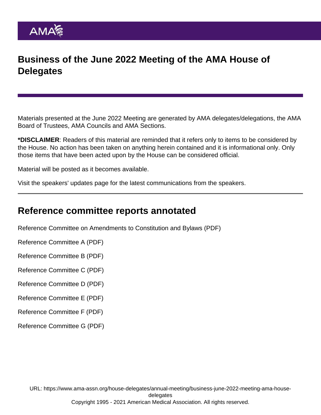## Business of the June 2022 Meeting of the AMA House of **Delegates**

Materials presented at the June 2022 Meeting are generated by AMA delegates/delegations, the AMA Board of Trustees, AMA Councils and AMA Sections.

\*DISCLAIMER: Readers of this material are reminded that it refers only to items to be considered by the House. No action has been taken on anything herein contained and it is informational only. Only those items that have been acted upon by the House can be considered official.

Material will be posted as it becomes available.

[Visit the speakers' updates page](https://www.ama-assn.org/house-delegates/annual-meeting/2022-annual-meeting-hod-speakers-updates-overview) for the latest communications from the speakers.

#### Reference committee reports annotated

[Reference Committee on Amendments to Constitution and Bylaws](https://www.ama-assn.org/system/files/a22-refcmte-conby-report-annotated.pdf) (PDF)

[Reference Committee A](https://www.ama-assn.org/system/files/a22-refcmte-a-report-annotated.pdf) (PDF)

[Reference Committee B](https://www.ama-assn.org/system/files/a22-refcmte-b-annotated.pdf) (PDF)

[Reference Committee C](https://www.ama-assn.org/system/files/a22-refcmte-c-report-annotated.pdf) (PDF)

[Reference Committee D](https://www.ama-assn.org/system/files/a22-refcmte-d-report-annotated.pdf) (PDF)

[Reference Committee E](https://www.ama-assn.org/system/files/a22-refcmte-e-report-annotated.pdf) (PDF)

[Reference Committee F](https://www.ama-assn.org/system/files/a22-refcmte-f-report-annotated.pdf) (PDF)

[Reference Committee G](https://www.ama-assn.org/system/files/a22-refcmte-g-report-annotated.pdf) (PDF)

URL: [https://www.ama-assn.org/house-delegates/annual-meeting/business-june-2022-meeting-ama-house](https://www.ama-assn.org/house-delegates/annual-meeting/business-june-2022-meeting-ama-house-delegates)[delegates](https://www.ama-assn.org/house-delegates/annual-meeting/business-june-2022-meeting-ama-house-delegates) Copyright 1995 - 2021 American Medical Association. All rights reserved.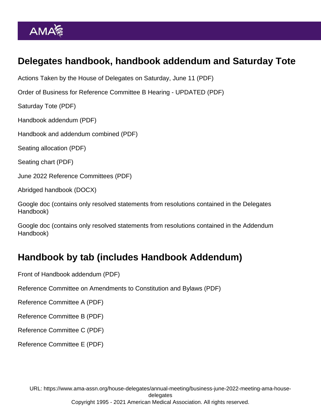# Delegates handbook, handbook addendum and Saturday Tote

[Actions Taken by the House of Delegates on Saturday, June 11](https://www.ama-assn.org/system/files/a22-saturday-actions.pdf) (PDF)

[Order of Business for Reference Committee B Hearing - UPDATED](https://www.ama-assn.org/system/files/a22-refcommb-oob-updated.pdf) (PDF)

[Saturday Tote](https://www.ama-assn.org/system/files/a22-saturday-tote.pdf) (PDF)

[Handbook addendum](https://www.ama-assn.org/system/files/a22-handbook-addendum.pdf) (PDF)

[Handbook and addendum combined](https://www.ama-assn.org/system/files/a22-handbook-addendum-combined.pdf) (PDF)

[Seating allocation](https://www.ama-assn.org/system/files/a22-seating-allocation.pdf) (PDF)

[Seating chart](https://www.ama-assn.org/system/files/a22-seating-chart.pdf) (PDF)

[June 2022 Reference Committees](https://www.ama-assn.org/system/files/a22-ref-comm-members.pdf) (PDF)

[Abridged handbook](https://www.ama-assn.org/system/files/a22-abridged-handbook.docx) (DOCX)

[Google doc](https://docs.google.com/spreadsheets/d/10h8UcEeyaVD3BcaQAOQooEx-ISQjRCYeiSMvlj1sYmI/edit?usp=sharing) (contains only resolved statements from resolutions contained in the Delegates Handbook)

[Google doc](https://docs.google.com/spreadsheets/d/1bqvj1Yk38ooKL7nUrZKp-R23LpmjjtGM6JC9LG5aaxI/edit?usp=sharing) (contains only resolved statements from resolutions contained in the Addendum Handbook)

### Handbook by tab (includes Handbook Addendum)

[Front of Handbook addendum](https://www.ama-assn.org/system/files/a22-handbook-front-matter-addendum.pdf) (PDF)

[Reference Committee on Amendments to Constitution and Bylaws](https://www.ama-assn.org/system/files/a22-handbook-ref-cmte-conby-addendum.pdf) (PDF)

[Reference Committee A](https://www.ama-assn.org/system/files/a22-handbook-ref-cmte-a-addendum.pdf) (PDF)

[Reference Committee B](https://www.ama-assn.org/system/files/a22-handbook-ref-cmte-b-addendum.pdf) (PDF)

[Reference Committee C](https://www.ama-assn.org/system/files/a22-handbook-ref-cmte-c-addendum.pdf) (PDF)

[Reference Committee E](https://www.ama-assn.org/system/files/a22-handbook-ref-cmte-e-addendum.pdf) (PDF)

URL: [https://www.ama-assn.org/house-delegates/annual-meeting/business-june-2022-meeting-ama-house](https://www.ama-assn.org/house-delegates/annual-meeting/business-june-2022-meeting-ama-house-delegates)[delegates](https://www.ama-assn.org/house-delegates/annual-meeting/business-june-2022-meeting-ama-house-delegates) Copyright 1995 - 2021 American Medical Association. All rights reserved.